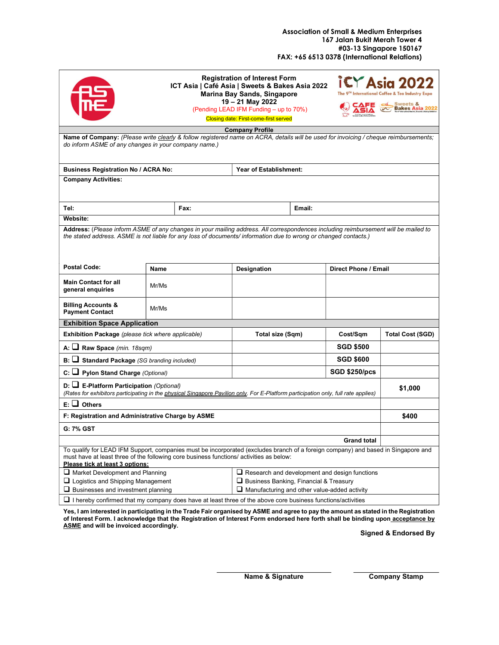Association of Small & Medium Enterprises 167 Jalan Bukit Merah Tower 4 #03-13 Singapore 150167 FAX: +65 6513 0378 (International Relations)

|                                                                                                                                                                                                                                                                 |       |      | <b>Registration of Interest Form</b><br>ICT Asia   Café Asia   Sweets & Bakes Asia 2022<br><b>Marina Bay Sands, Singapore</b><br>19 - 21 May 2022<br>(Pending LEAD IFM Funding - up to 70%)<br><b>Closing date: First-come-first served</b> |        |                      | iCY Asia 2022<br>The 9TH International Coffee & Tea Industry Expo<br><b>Sweets &amp;</b><br><b>Bakes Asia 202</b> |
|-----------------------------------------------------------------------------------------------------------------------------------------------------------------------------------------------------------------------------------------------------------------|-------|------|---------------------------------------------------------------------------------------------------------------------------------------------------------------------------------------------------------------------------------------------|--------|----------------------|-------------------------------------------------------------------------------------------------------------------|
| Name of Company: (Please write clearly & follow registered name on ACRA, details will be used for invoicing / cheque reimbursements;                                                                                                                            |       |      | <b>Company Profile</b>                                                                                                                                                                                                                      |        |                      |                                                                                                                   |
| do inform ASME of any changes in your company name.)                                                                                                                                                                                                            |       |      |                                                                                                                                                                                                                                             |        |                      |                                                                                                                   |
| <b>Business Registration No / ACRA No:</b>                                                                                                                                                                                                                      |       |      | <b>Year of Establishment:</b>                                                                                                                                                                                                               |        |                      |                                                                                                                   |
| <b>Company Activities:</b>                                                                                                                                                                                                                                      |       |      |                                                                                                                                                                                                                                             |        |                      |                                                                                                                   |
| Tel:                                                                                                                                                                                                                                                            |       | Fax: |                                                                                                                                                                                                                                             | Email: |                      |                                                                                                                   |
| Website:                                                                                                                                                                                                                                                        |       |      |                                                                                                                                                                                                                                             |        |                      |                                                                                                                   |
| Address: (Please inform ASME of any changes in your mailing address. All correspondences including reimbursement will be mailed to<br>the stated address. ASME is not liable for any loss of documents/information due to wrong or changed contacts.)           |       |      |                                                                                                                                                                                                                                             |        |                      |                                                                                                                   |
| <b>Postal Code:</b>                                                                                                                                                                                                                                             | Name  |      | Designation                                                                                                                                                                                                                                 |        | Direct Phone / Email |                                                                                                                   |
| <b>Main Contact for all</b><br>general enquiries                                                                                                                                                                                                                | Mr/Ms |      |                                                                                                                                                                                                                                             |        |                      |                                                                                                                   |
| <b>Billing Accounts &amp;</b><br><b>Payment Contact</b>                                                                                                                                                                                                         | Mr/Ms |      |                                                                                                                                                                                                                                             |        |                      |                                                                                                                   |
| <b>Exhibition Space Application</b>                                                                                                                                                                                                                             |       |      |                                                                                                                                                                                                                                             |        |                      |                                                                                                                   |
| Exhibition Package (please tick where applicable)                                                                                                                                                                                                               |       |      | Total size (Sqm)                                                                                                                                                                                                                            |        | Cost/Sqm             | <b>Total Cost (SGD)</b>                                                                                           |
| A: $\Box$ Raw Space (min. 18sqm)                                                                                                                                                                                                                                |       |      |                                                                                                                                                                                                                                             |        | <b>SGD \$500</b>     |                                                                                                                   |
| B: Standard Package (SG branding included)                                                                                                                                                                                                                      |       |      |                                                                                                                                                                                                                                             |        | <b>SGD \$600</b>     |                                                                                                                   |
| C: Q Pylon Stand Charge (Optional)                                                                                                                                                                                                                              |       |      |                                                                                                                                                                                                                                             |        | <b>SGD \$250/pcs</b> |                                                                                                                   |
| <b>D:</b> $\Box$ E-Platform Participation (Optional)<br>\$1,000<br>(Rates for exhibitors participating in the physical Singapore Pavilion only. For E-Platform participation only, full rate applies)                                                           |       |      |                                                                                                                                                                                                                                             |        |                      |                                                                                                                   |
| $E:$ Others                                                                                                                                                                                                                                                     |       |      |                                                                                                                                                                                                                                             |        |                      |                                                                                                                   |
| F: Registration and Administrative Charge by ASME                                                                                                                                                                                                               |       |      |                                                                                                                                                                                                                                             |        |                      | \$400                                                                                                             |
| <b>G: 7% GST</b>                                                                                                                                                                                                                                                |       |      |                                                                                                                                                                                                                                             |        |                      |                                                                                                                   |
| <b>Grand total</b>                                                                                                                                                                                                                                              |       |      |                                                                                                                                                                                                                                             |        |                      |                                                                                                                   |
| To qualify for LEAD IFM Support, companies must be incorporated (excludes branch of a foreign company) and based in Singapore and<br>must have at least three of the following core business functions/ activities as below:<br>Please tick at least 3 options: |       |      |                                                                                                                                                                                                                                             |        |                      |                                                                                                                   |
| $\Box$ Market Development and Planning                                                                                                                                                                                                                          |       |      | $\Box$ Research and development and design functions                                                                                                                                                                                        |        |                      |                                                                                                                   |
| □ Logistics and Shipping Management                                                                                                                                                                                                                             |       |      | □ Business Banking, Financial & Treasury                                                                                                                                                                                                    |        |                      |                                                                                                                   |
| $\Box$ Businesses and investment planning<br>$\Box$ Manufacturing and other value-added activity                                                                                                                                                                |       |      |                                                                                                                                                                                                                                             |        |                      |                                                                                                                   |
| $\Box$ I hereby confirmed that my company does have at least three of the above core business functions/activities                                                                                                                                              |       |      |                                                                                                                                                                                                                                             |        |                      |                                                                                                                   |

Yes, I am interested in participating in the Trade Fair organised by ASME and agree to pay the amount as stated in the Registration of Interest Form. I acknowledge that the Registration of Interest Form endorsed here forth shall be binding upon <u>acceptance by</u> ASME and will be invoiced accordingly.

Signed & Endorsed By